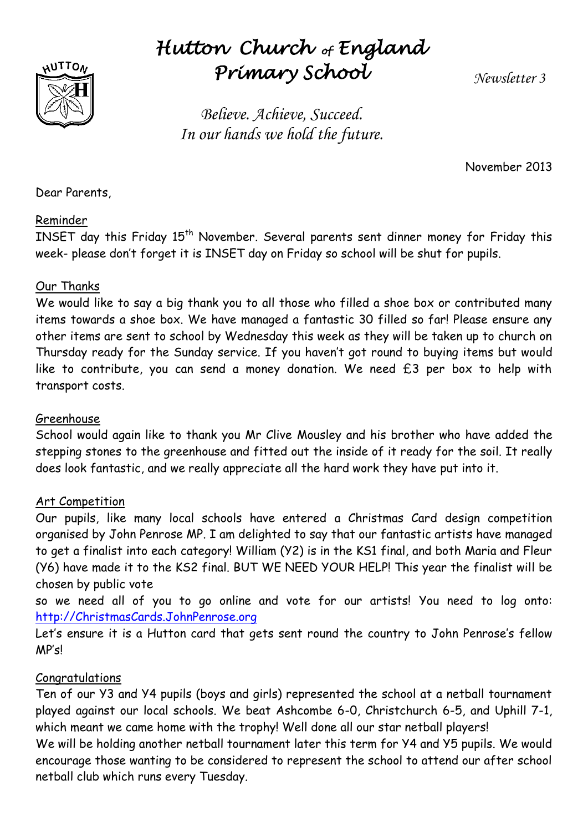

# *Hutton Church of England Primary School*

*Newsletter 3*

*Believe. Achieve, Succeed. In our hands we hold the future.*

November 2013

Dear Parents,

#### Reminder

INSET day this Friday 15<sup>th</sup> November. Several parents sent dinner money for Friday this week- please don't forget it is INSET day on Friday so school will be shut for pupils.

#### Our Thanks

We would like to say a big thank you to all those who filled a shoe box or contributed many items towards a shoe box. We have managed a fantastic 30 filled so far! Please ensure any other items are sent to school by Wednesday this week as they will be taken up to church on Thursday ready for the Sunday service. If you haven't got round to buying items but would like to contribute, you can send a money donation. We need £3 per box to help with transport costs.

#### Greenhouse

School would again like to thank you Mr Clive Mousley and his brother who have added the stepping stones to the greenhouse and fitted out the inside of it ready for the soil. It really does look fantastic, and we really appreciate all the hard work they have put into it.

#### Art Competition

Our pupils, like many local schools have entered a Christmas Card design competition organised by John Penrose MP. I am delighted to say that our fantastic artists have managed to get a finalist into each category! William (Y2) is in the KS1 final, and both Maria and Fleur (Y6) have made it to the KS2 final. BUT WE NEED YOUR HELP! This year the finalist will be chosen by public vote

so we need all of you to go online and vote for our artists! You need to log onto: [http://ChristmasCards.JohnPenrose.org](http://christmascards.johnpenrose.org/)

Let's ensure it is a Hutton card that gets sent round the country to John Penrose's fellow MP's!

#### Congratulations

Ten of our Y3 and Y4 pupils (boys and girls) represented the school at a netball tournament played against our local schools. We beat Ashcombe 6-0, Christchurch 6-5, and Uphill 7-1, which meant we came home with the trophy! Well done all our star netball players!

We will be holding another netball tournament later this term for Y4 and Y5 pupils. We would encourage those wanting to be considered to represent the school to attend our after school netball club which runs every Tuesday.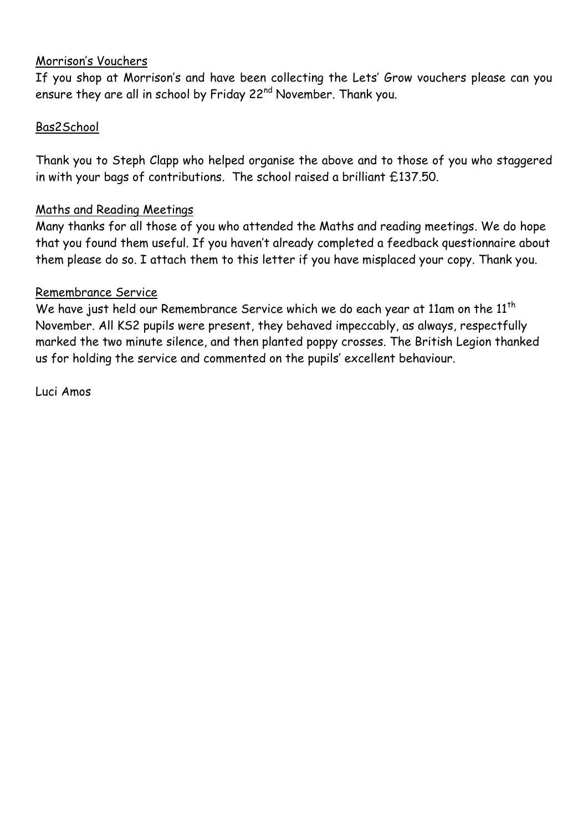#### Morrison's Vouchers

If you shop at Morrison's and have been collecting the Lets' Grow vouchers please can you ensure they are all in school by Friday 22<sup>nd</sup> November. Thank you.

#### Bas2School

Thank you to Steph Clapp who helped organise the above and to those of you who staggered in with your bags of contributions. The school raised a brilliant £137.50.

#### Maths and Reading Meetings

Many thanks for all those of you who attended the Maths and reading meetings. We do hope that you found them useful. If you haven't already completed a feedback questionnaire about them please do so. I attach them to this letter if you have misplaced your copy. Thank you.

#### Remembrance Service

We have just held our Remembrance Service which we do each year at 11am on the 11<sup>th</sup> November. All KS2 pupils were present, they behaved impeccably, as always, respectfully marked the two minute silence, and then planted poppy crosses. The British Legion thanked us for holding the service and commented on the pupils' excellent behaviour.

Luci Amos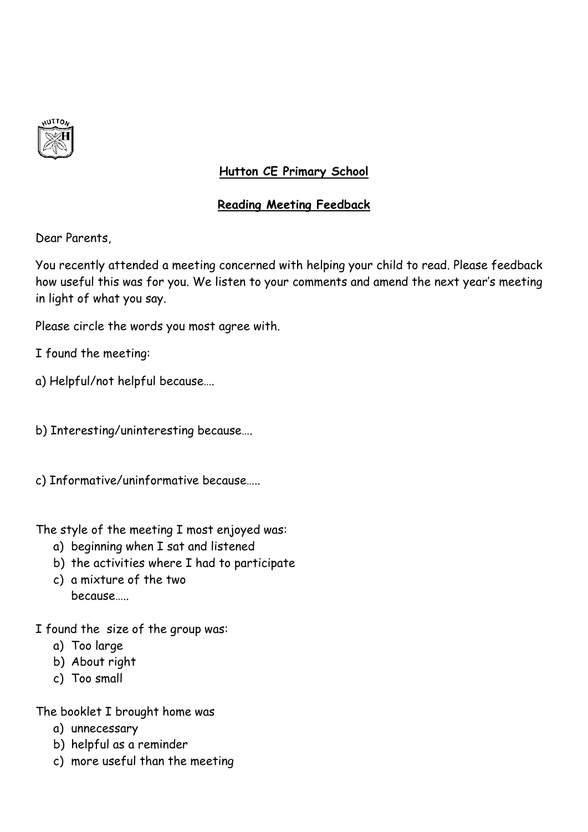

### **Hutton CE Primary School**

#### **Reading Meeting Feedback**

Dear Parents,

You recently attended a meeting concerned with helping your child to read. Please feedback how useful this was for you. We listen to your comments and amend the next year's meeting in light of what you say.

Please circle the words you most agree with.

I found the meeting:

a) Helpful/not helpful because….

b) Interesting/uninteresting because….

c) Informative/uninformative because…..

The style of the meeting I most enjoyed was:

- a) beginning when I sat and listened
- b) the activities where I had to participate
- c) a mixture of the two because…..

I found the size of the group was:

- a) Too large
- b) About right
- c) Too small

The booklet I brought home was

- a) unnecessary
- b) helpful as a reminder
- c) more useful than the meeting